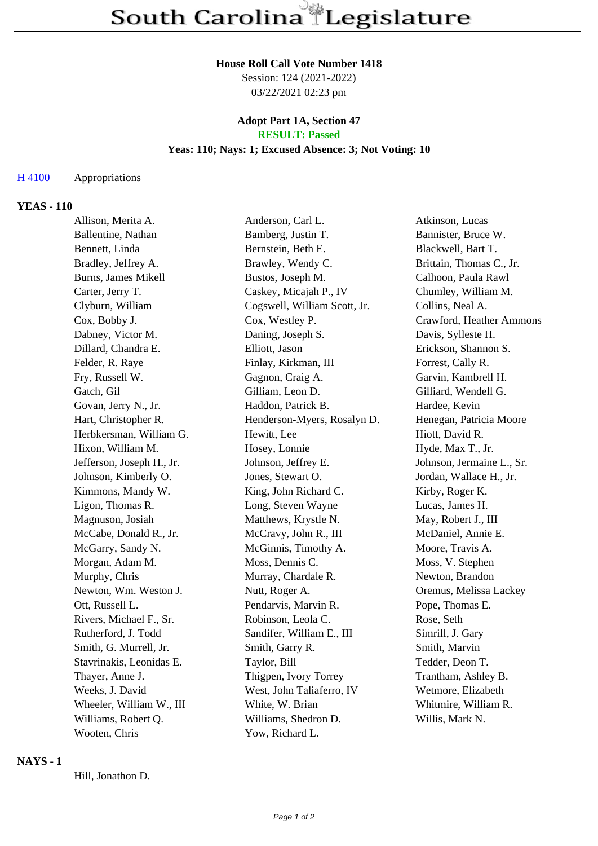#### **House Roll Call Vote Number 1418**

Session: 124 (2021-2022) 03/22/2021 02:23 pm

#### **Adopt Part 1A, Section 47 RESULT: Passed**

# **Yeas: 110; Nays: 1; Excused Absence: 3; Not Voting: 10**

#### H 4100 Appropriations

#### **YEAS - 110**

| Allison, Merita A.        | Anderson, Carl L.            | Atkinson, Lucas           |
|---------------------------|------------------------------|---------------------------|
| Ballentine, Nathan        | Bamberg, Justin T.           | Bannister, Bruce W.       |
| Bennett, Linda            | Bernstein, Beth E.           | Blackwell, Bart T.        |
| Bradley, Jeffrey A.       | Brawley, Wendy C.            | Brittain, Thomas C., Jr.  |
| Burns, James Mikell       | Bustos, Joseph M.            | Calhoon, Paula Rawl       |
| Carter, Jerry T.          | Caskey, Micajah P., IV       | Chumley, William M.       |
| Clyburn, William          | Cogswell, William Scott, Jr. | Collins, Neal A.          |
| Cox, Bobby J.             | Cox, Westley P.              | Crawford, Heather Ammons  |
| Dabney, Victor M.         | Daning, Joseph S.            | Davis, Sylleste H.        |
| Dillard, Chandra E.       | Elliott, Jason               | Erickson, Shannon S.      |
| Felder, R. Raye           | Finlay, Kirkman, III         | Forrest, Cally R.         |
| Fry, Russell W.           | Gagnon, Craig A.             | Garvin, Kambrell H.       |
| Gatch, Gil                | Gilliam, Leon D.             | Gilliard, Wendell G.      |
| Govan, Jerry N., Jr.      | Haddon, Patrick B.           | Hardee, Kevin             |
| Hart, Christopher R.      | Henderson-Myers, Rosalyn D.  | Henegan, Patricia Moore   |
| Herbkersman, William G.   | Hewitt, Lee                  | Hiott, David R.           |
| Hixon, William M.         | Hosey, Lonnie                | Hyde, Max T., Jr.         |
| Jefferson, Joseph H., Jr. | Johnson, Jeffrey E.          | Johnson, Jermaine L., Sr. |
| Johnson, Kimberly O.      | Jones, Stewart O.            | Jordan, Wallace H., Jr.   |
| Kimmons, Mandy W.         | King, John Richard C.        | Kirby, Roger K.           |
| Ligon, Thomas R.          | Long, Steven Wayne           | Lucas, James H.           |
| Magnuson, Josiah          | Matthews, Krystle N.         | May, Robert J., III       |
| McCabe, Donald R., Jr.    | McCravy, John R., III        | McDaniel, Annie E.        |
| McGarry, Sandy N.         | McGinnis, Timothy A.         | Moore, Travis A.          |
| Morgan, Adam M.           | Moss, Dennis C.              | Moss, V. Stephen          |
| Murphy, Chris             | Murray, Chardale R.          | Newton, Brandon           |
| Newton, Wm. Weston J.     | Nutt, Roger A.               | Oremus, Melissa Lackey    |
| Ott, Russell L.           | Pendarvis, Marvin R.         | Pope, Thomas E.           |
| Rivers, Michael F., Sr.   | Robinson, Leola C.           | Rose, Seth                |
| Rutherford, J. Todd       | Sandifer, William E., III    | Simrill, J. Gary          |
| Smith, G. Murrell, Jr.    | Smith, Garry R.              | Smith, Marvin             |
| Stavrinakis, Leonidas E.  | Taylor, Bill                 | Tedder, Deon T.           |
| Thayer, Anne J.           | Thigpen, Ivory Torrey        | Trantham, Ashley B.       |
| Weeks, J. David           | West, John Taliaferro, IV    | Wetmore, Elizabeth        |
| Wheeler, William W., III  | White, W. Brian              | Whitmire, William R.      |
| Williams, Robert Q.       | Williams, Shedron D.         | Willis, Mark N.           |
| Wooten, Chris             | Yow, Richard L.              |                           |

#### **NAYS - 1**

Hill, Jonathon D.